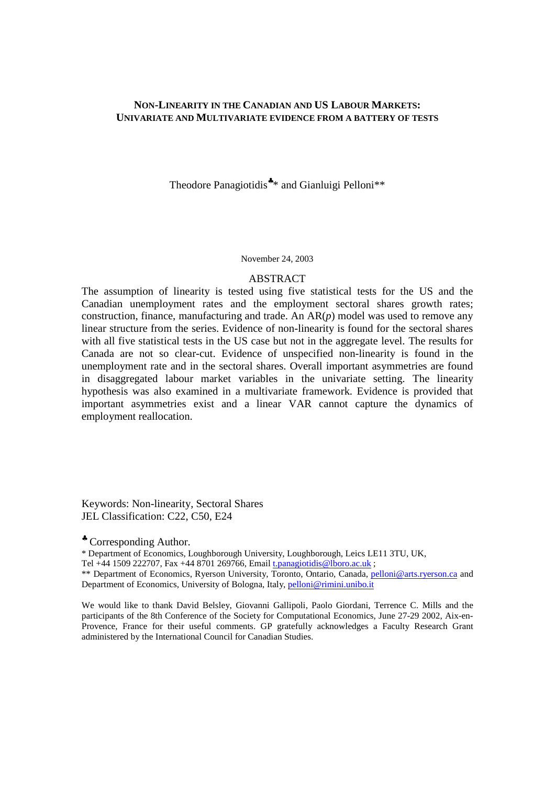## **NON-LINEARITY IN THE CANADIAN AND US LABOUR MARKETS: UNIVARIATE AND MULTIVARIATE EVIDENCE FROM A BATTERY OF TESTS**

Theodore Panagiotidis<sup>\*</sup>\* and Gianluigi Pelloni<sup>\*\*</sup>

#### November 24, 2003

#### ABSTRACT

The assumption of linearity is tested using five statistical tests for the US and the Canadian unemployment rates and the employment sectoral shares growth rates; construction, finance, manufacturing and trade. An AR(*p*) model was used to remove any linear structure from the series. Evidence of non-linearity is found for the sectoral shares with all five statistical tests in the US case but not in the aggregate level. The results for Canada are not so clear-cut. Evidence of unspecified non-linearity is found in the unemployment rate and in the sectoral shares. Overall important asymmetries are found in disaggregated labour market variables in the univariate setting. The linearity hypothesis was also examined in a multivariate framework. Evidence is provided that important asymmetries exist and a linear VAR cannot capture the dynamics of employment reallocation.

Keywords: Non-linearity, Sectoral Shares JEL Classification: C22, C50, E24

♣ Corresponding Author.

\* Department of Economics, Loughborough University, Loughborough, Leics LE11 3TU, UK,

Tel +44 1509 222707, Fax +44 8701 269766, Email *t.panagiotidis@lboro.ac.uk*;

\*\* Department of Economics, Ryerson University, Toronto, Ontario, Canada, pelloni@arts.ryerson.ca and Department of Economics, University of Bologna, Italy, pelloni@rimini.unibo.it

We would like to thank David Belsley, Giovanni Gallipoli, Paolo Giordani, Terrence C. Mills and the participants of the 8th Conference of the Society for Computational Economics, June 27-29 2002, Aix-en-Provence, France for their useful comments. GP gratefully acknowledges a Faculty Research Grant administered by the International Council for Canadian Studies.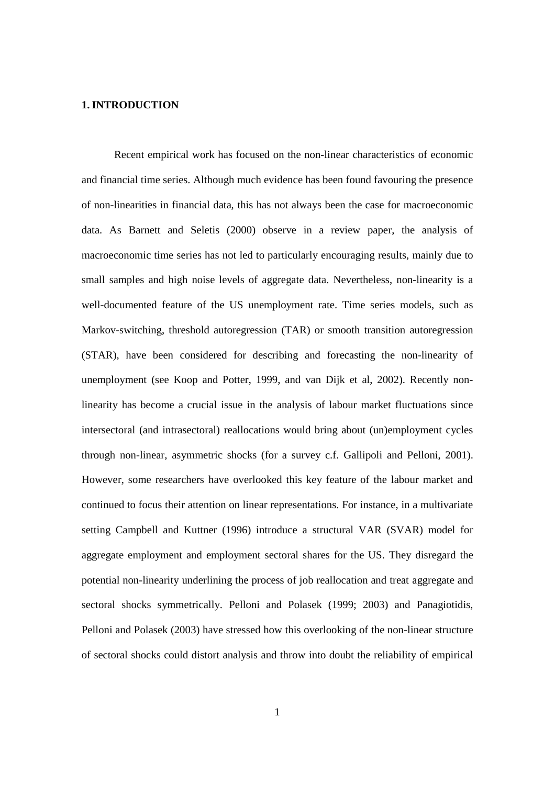## **1.INTRODUCTION**

Recent empirical work has focused on the non-linear characteristics of economic and financial time series. Although much evidence has been found favouring the presence of non-linearities in financial data, this has not always been the case for macroeconomic data. As Barnett and Seletis (2000) observe in a review paper, the analysis of macroeconomic time series has not led to particularly encouraging results, mainly due to small samples and high noise levels of aggregate data. Nevertheless, non-linearity is a well-documented feature of the US unemployment rate. Time series models, such as Markov-switching, threshold autoregression (TAR) or smooth transition autoregression (STAR), have been considered for describing and forecasting the non-linearity of unemployment (see Koop and Potter, 1999, and van Dijk et al, 2002). Recently nonlinearity has become a crucial issue in the analysis of labour market fluctuations since intersectoral (and intrasectoral) reallocations would bring about (un)employment cycles through non-linear, asymmetric shocks (for a survey c.f. Gallipoli and Pelloni, 2001). However, some researchers have overlooked this key feature of the labour market and continued to focus their attention on linear representations. For instance, in a multivariate setting Campbell and Kuttner (1996) introduce a structural VAR (SVAR) model for aggregate employment and employment sectoral shares for the US. They disregard the potential non-linearity underlining the process of job reallocation and treat aggregate and sectoral shocks symmetrically. Pelloni and Polasek (1999; 2003) and Panagiotidis, Pelloni and Polasek (2003) have stressed how this overlooking of the non-linear structure of sectoral shocks could distort analysis and throw into doubt the reliability of empirical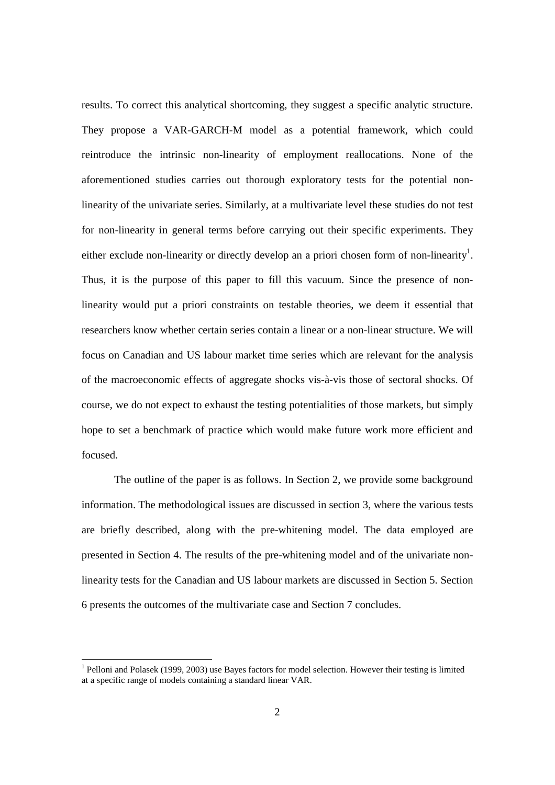results. To correct this analytical shortcoming, they suggest a specific analytic structure. They propose a VAR-GARCH-M model as a potential framework, which could reintroduce the intrinsic non-linearity of employment reallocations. None of the aforementioned studies carries out thorough exploratory tests for the potential nonlinearity of the univariate series. Similarly, at a multivariate level these studies do not test for non-linearity in general terms before carrying out their specific experiments. They either exclude non-linearity or directly develop an a priori chosen form of non-linearity<sup>1</sup>. Thus, it is the purpose of this paper to fill this vacuum. Since the presence of nonlinearity would put a priori constraints on testable theories, we deem it essential that researchers know whether certain series contain a linear or a non-linear structure. We will focus on Canadian and US labour market time series which are relevant for the analysis of the macroeconomic effects of aggregate shocks vis-à-vis those of sectoral shocks. Of course, we do not expect to exhaust the testing potentialities of those markets, but simply hope to set a benchmark of practice which would make future work more efficient and focused.

The outline of the paper is as follows. In Section 2, we provide some background information. The methodological issues are discussed in section 3, where the various tests are briefly described, along with the pre-whitening model. The data employed are presented in Section 4. The results of the pre-whitening model and of the univariate nonlinearity tests for the Canadian and US labour markets are discussed in Section 5. Section 6 presents the outcomes of the multivariate case and Section 7 concludes.

<sup>&</sup>lt;sup>1</sup> Pelloni and Polasek (1999, 2003) use Bayes factors for model selection. However their testing is limited at a specific range of models containing a standard linear VAR.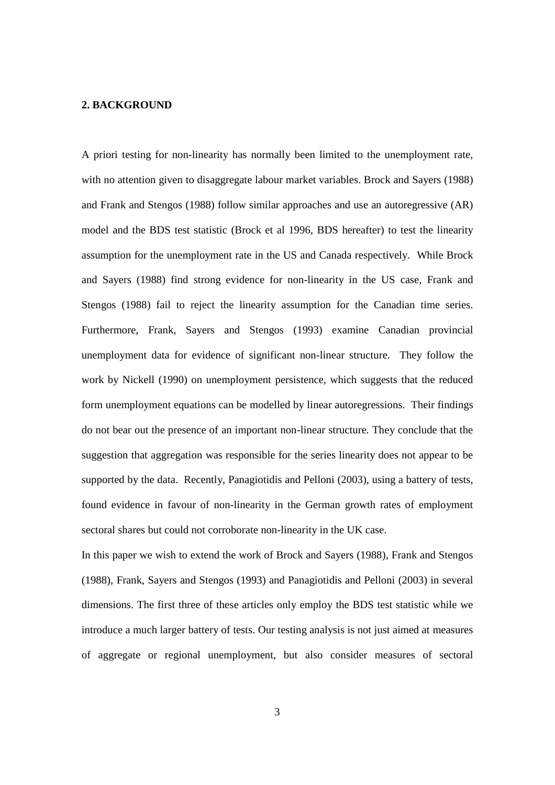## **2. BACKGROUND**

A priori testing for non-linearity has normally been limited to the unemployment rate, with no attention given to disaggregate labour market variables. Brock and Sayers (1988) and Frank and Stengos (1988) follow similar approaches and use an autoregressive (AR) model and the BDS test statistic (Brock et al 1996, BDS hereafter) to test the linearity assumption for the unemployment rate in the US and Canada respectively. While Brock and Sayers (1988) find strong evidence for non-linearity in the US case, Frank and Stengos (1988) fail to reject the linearity assumption for the Canadian time series. Furthermore, Frank, Sayers and Stengos (1993) examine Canadian provincial unemployment data for evidence of significant non-linear structure. They follow the work by Nickell (1990) on unemployment persistence, which suggests that the reduced form unemployment equations can be modelled by linear autoregressions. Their findings do not bear out the presence of an important non-linear structure*.* They conclude that the suggestion that aggregation was responsible for the series linearity does not appear to be supported by the data. Recently, Panagiotidis and Pelloni (2003), using a battery of tests, found evidence in favour of non-linearity in the German growth rates of employment sectoral shares but could not corroborate non-linearity in the UK case.

In this paper we wish to extend the work of Brock and Sayers (1988), Frank and Stengos (1988), Frank, Sayers and Stengos (1993) and Panagiotidis and Pelloni (2003) in several dimensions. The first three of these articles only employ the BDS test statistic while we introduce a much larger battery of tests. Our testing analysis is not just aimed at measures of aggregate or regional unemployment, but also consider measures of sectoral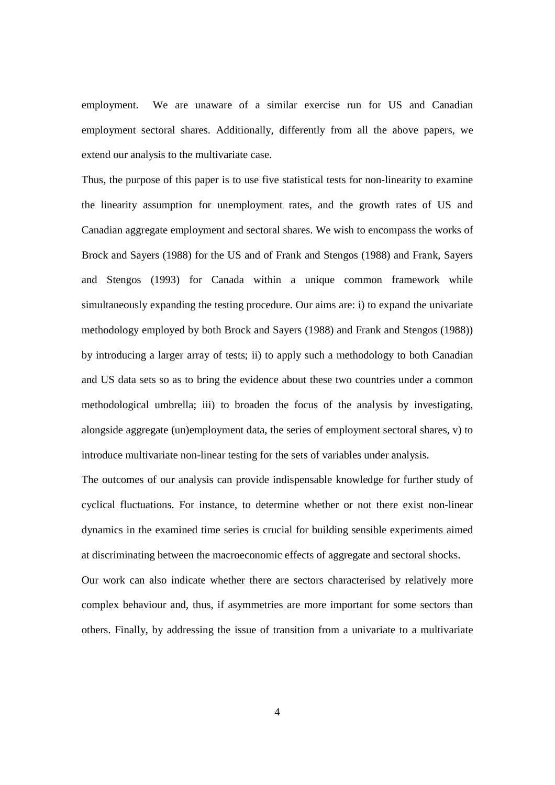employment. We are unaware of a similar exercise run for US and Canadian employment sectoral shares. Additionally, differently from all the above papers, we extend our analysis to the multivariate case.

Thus, the purpose of this paper is to use five statistical tests for non-linearity to examine the linearity assumption for unemployment rates, and the growth rates of US and Canadian aggregate employment and sectoral shares. We wish to encompass the works of Brock and Sayers (1988) for the US and of Frank and Stengos (1988) and Frank, Sayers and Stengos (1993) for Canada within a unique common framework while simultaneously expanding the testing procedure. Our aims are: i) to expand the univariate methodology employed by both Brock and Sayers (1988) and Frank and Stengos (1988)) by introducing a larger array of tests; ii) to apply such a methodology to both Canadian and US data sets so as to bring the evidence about these two countries under a common methodological umbrella; iii) to broaden the focus of the analysis by investigating, alongside aggregate (un)employment data, the series of employment sectoral shares, v) to introduce multivariate non-linear testing for the sets of variables under analysis.

The outcomes of our analysis can provide indispensable knowledge for further study of cyclical fluctuations. For instance, to determine whether or not there exist non-linear dynamics in the examined time series is crucial for building sensible experiments aimed at discriminating between the macroeconomic effects of aggregate and sectoral shocks.

Our work can also indicate whether there are sectors characterised by relatively more complex behaviour and, thus, if asymmetries are more important for some sectors than others. Finally, by addressing the issue of transition from a univariate to a multivariate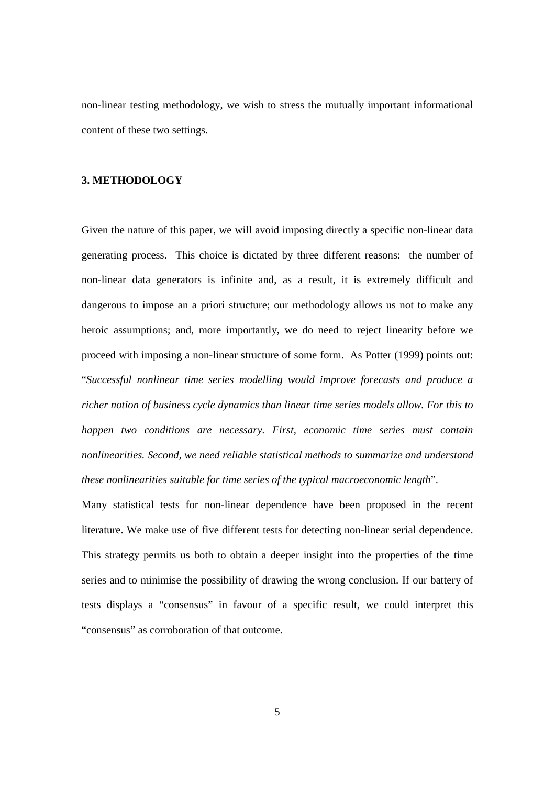non-linear testing methodology, we wish to stress the mutually important informational content of these two settings.

# **3. METHODOLOGY**

Given the nature of this paper, we will avoid imposing directly a specific non-linear data generating process. This choice is dictated by three different reasons: the number of non-linear data generators is infinite and, as a result, it is extremely difficult and dangerous to impose an a priori structure; our methodology allows us not to make any heroic assumptions; and, more importantly, we do need to reject linearity before we proceed with imposing a non-linear structure of some form. As Potter (1999) points out: "*Successful nonlinear time series modelling would improve forecasts and produce a richer notion of business cycle dynamics than linear time series models allow. For this to happen two conditions are necessary. First, economic time series must contain nonlinearities. Second, we need reliable statistical methods to summarize and understand these nonlinearities suitable for time series of the typical macroeconomic length*".

Many statistical tests for non-linear dependence have been proposed in the recent literature. We make use of five different tests for detecting non-linear serial dependence. This strategy permits us both to obtain a deeper insight into the properties of the time series and to minimise the possibility of drawing the wrong conclusion. If our battery of tests displays a "consensus" in favour of a specific result, we could interpret this "consensus" as corroboration of that outcome.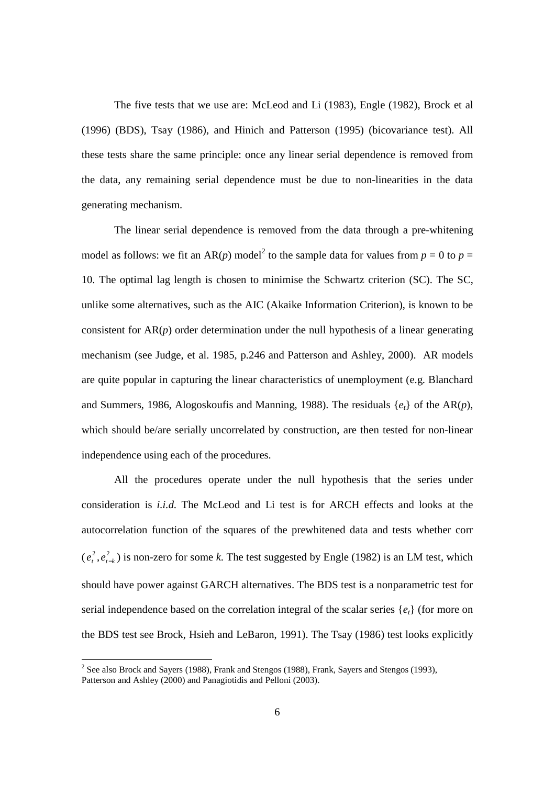The five tests that we use are: McLeod and Li (1983), Engle (1982), Brock et al (1996) (BDS), Tsay (1986), and Hinich and Patterson (1995) (bicovariance test). All these tests share the same principle: once any linear serial dependence is removed from the data, any remaining serial dependence must be due to non-linearities in the data generating mechanism.

The linear serial dependence is removed from the data through a pre-whitening model as follows: we fit an AR(*p*) model<sup>2</sup> to the sample data for values from  $p = 0$  to  $p = 1$ 10. The optimal lag length is chosen to minimise the Schwartz criterion (SC). The SC, unlike some alternatives, such as the AIC (Akaike Information Criterion), is known to be consistent for  $AR(p)$  order determination under the null hypothesis of a linear generating mechanism (see Judge, et al. 1985, p.246 and Patterson and Ashley, 2000). AR models are quite popular in capturing the linear characteristics of unemployment (e.g. Blanchard and Summers, 1986, Alogoskoufis and Manning, 1988). The residuals {*et*} of the AR(*p*), which should be/are serially uncorrelated by construction, are then tested for non-linear independence using each of the procedures.

All the procedures operate under the null hypothesis that the series under consideration is *i.i.d.* The McLeod and Li test is for ARCH effects and looks at the autocorrelation function of the squares of the prewhitened data and tests whether corr  $(e_t^2, e_{t-k}^2)$  is non-zero for some *k*. The test suggested by Engle (1982) is an LM test, which should have power against GARCH alternatives. The BDS test is a nonparametric test for serial independence based on the correlation integral of the scalar series  $\{e_t\}$  (for more on the BDS test see Brock, Hsieh and LeBaron, 1991). The Tsay (1986) test looks explicitly

 $2^{2}$  See also Brock and Sayers (1988), Frank and Stengos (1988), Frank, Sayers and Stengos (1993), Patterson and Ashley (2000) and Panagiotidis and Pelloni (2003).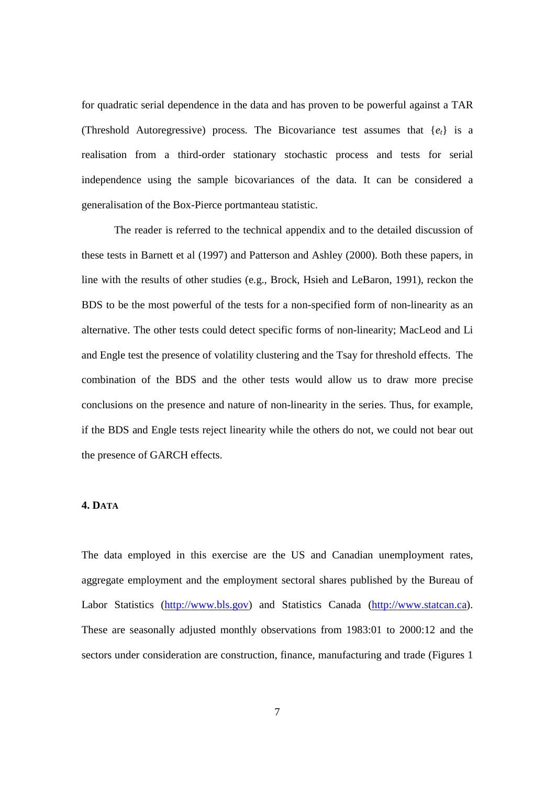for quadratic serial dependence in the data and has proven to be powerful against a TAR (Threshold Autoregressive) process. The Bicovariance test assumes that  $\{e_t\}$  is a realisation from a third-order stationary stochastic process and tests for serial independence using the sample bicovariances of the data. It can be considered a generalisation of the Box-Pierce portmanteau statistic.

The reader is referred to the technical appendix and to the detailed discussion of these tests in Barnett et al (1997) and Patterson and Ashley (2000). Both these papers, in line with the results of other studies (e.g., Brock, Hsieh and LeBaron, 1991), reckon the BDS to be the most powerful of the tests for a non-specified form of non-linearity as an alternative. The other tests could detect specific forms of non-linearity; MacLeod and Li and Engle test the presence of volatility clustering and the Tsay for threshold effects. The combination of the BDS and the other tests would allow us to draw more precise conclusions on the presence and nature of non-linearity in the series. Thus, for example, if the BDS and Engle tests reject linearity while the others do not, we could not bear out the presence of GARCH effects.

## **4. DATA**

The data employed in this exercise are the US and Canadian unemployment rates, aggregate employment and the employment sectoral shares published by the Bureau of Labor Statistics (http://www.bls.gov) and Statistics Canada (http://www.statcan.ca). These are seasonally adjusted monthly observations from 1983:01 to 2000:12 and the sectors under consideration are construction, finance, manufacturing and trade (Figures 1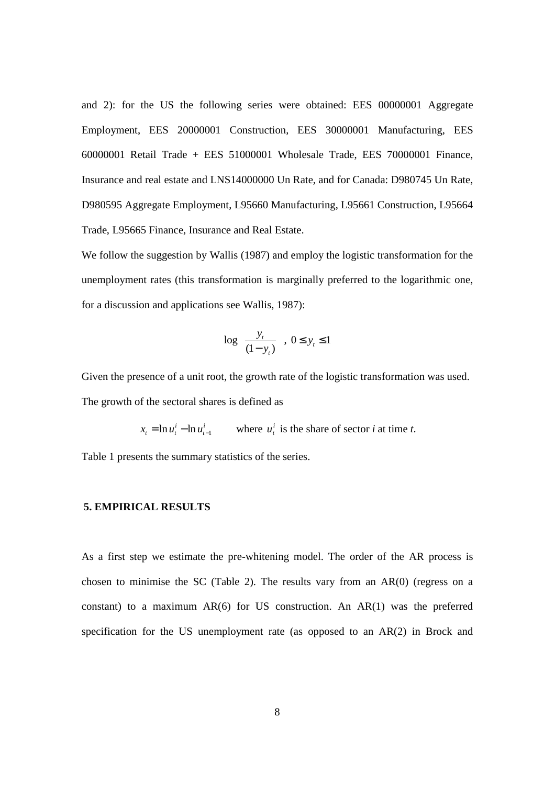and 2): for the US the following series were obtained: EES 00000001 Aggregate Employment, EES 20000001 Construction, EES 30000001 Manufacturing, EES 60000001 Retail Trade + EES 51000001 Wholesale Trade, EES 70000001 Finance, Insurance and real estate and LNS14000000 Un Rate, and for Canada: D980745 Un Rate, D980595 Aggregate Employment, L95660 Manufacturing, L95661 Construction, L95664 Trade, L95665 Finance, Insurance and Real Estate.

We follow the suggestion by Wallis (1987) and employ the logistic transformation for the unemployment rates (this transformation is marginally preferred to the logarithmic one, for a discussion and applications see Wallis, 1987):

$$
\log\left\{\frac{y_t}{(1-y_t)}\right\},\ 0\leq y_t\leq 1
$$

Given the presence of a unit root, the growth rate of the logistic transformation was used. The growth of the sectoral shares is defined as

 $x_t = \ln u_t^i - \ln u_{t-1}^i$  where  $u_t^i$  is the share of sector *i* at time *t*.

Table 1 presents the summary statistics of the series.

# **5. EMPIRICAL RESULTS**

As a first step we estimate the pre-whitening model. The order of the AR process is chosen to minimise the SC (Table 2). The results vary from an  $AR(0)$  (regress on a constant) to a maximum  $AR(6)$  for US construction. An  $AR(1)$  was the preferred specification for the US unemployment rate (as opposed to an AR(2) in Brock and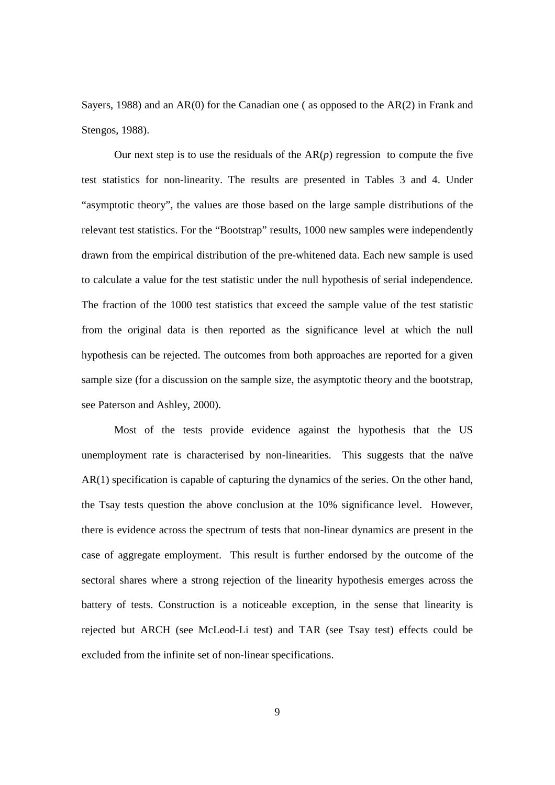Sayers, 1988) and an  $AR(0)$  for the Canadian one (as opposed to the  $AR(2)$  in Frank and Stengos, 1988).

Our next step is to use the residuals of the  $AR(p)$  regression to compute the five test statistics for non-linearity. The results are presented in Tables 3 and 4. Under "asymptotic theory", the values are those based on the large sample distributions of the relevant test statistics. For the "Bootstrap" results, 1000 new samples were independently drawn from the empirical distribution of the pre-whitened data. Each new sample is used to calculate a value for the test statistic under the null hypothesis of serial independence. The fraction of the 1000 test statistics that exceed the sample value of the test statistic from the original data is then reported as the significance level at which the null hypothesis can be rejected. The outcomes from both approaches are reported for a given sample size (for a discussion on the sample size, the asymptotic theory and the bootstrap, see Paterson and Ashley, 2000).

Most of the tests provide evidence against the hypothesis that the US unemployment rate is characterised by non-linearities. This suggests that the naïve AR(1) specification is capable of capturing the dynamics of the series. On the other hand, the Tsay tests question the above conclusion at the 10% significance level. However, there is evidence across the spectrum of tests that non-linear dynamics are present in the case of aggregate employment. This result is further endorsed by the outcome of the sectoral shares where a strong rejection of the linearity hypothesis emerges across the battery of tests. Construction is a noticeable exception, in the sense that linearity is rejected but ARCH (see McLeod-Li test) and TAR (see Tsay test) effects could be excluded from the infinite set of non-linear specifications.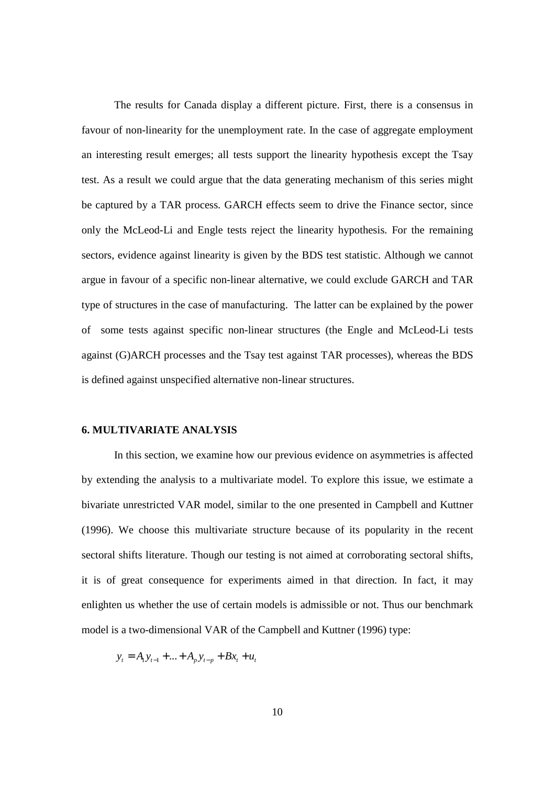The results for Canada display a different picture. First, there is a consensus in favour of non-linearity for the unemployment rate. In the case of aggregate employment an interesting result emerges; all tests support the linearity hypothesis except the Tsay test. As a result we could argue that the data generating mechanism of this series might be captured by a TAR process. GARCH effects seem to drive the Finance sector, since only the McLeod-Li and Engle tests reject the linearity hypothesis. For the remaining sectors, evidence against linearity is given by the BDS test statistic. Although we cannot argue in favour of a specific non-linear alternative, we could exclude GARCH and TAR type of structures in the case of manufacturing. The latter can be explained by the power of some tests against specific non-linear structures (the Engle and McLeod-Li tests against (G)ARCH processes and the Tsay test against TAR processes), whereas the BDS is defined against unspecified alternative non-linear structures.

#### **6. MULTIVARIATE ANALYSIS**

In this section, we examine how our previous evidence on asymmetries is affected by extending the analysis to a multivariate model. To explore this issue, we estimate a bivariate unrestricted VAR model, similar to the one presented in Campbell and Kuttner (1996). We choose this multivariate structure because of its popularity in the recent sectoral shifts literature. Though our testing is not aimed at corroborating sectoral shifts, it is of great consequence for experiments aimed in that direction. In fact, it may enlighten us whether the use of certain models is admissible or not. Thus our benchmark model is a two-dimensional VAR of the Campbell and Kuttner (1996) type:

$$
y_t = A_1 y_{t-1} + \ldots + A_p y_{t-p} + B x_t + u_t
$$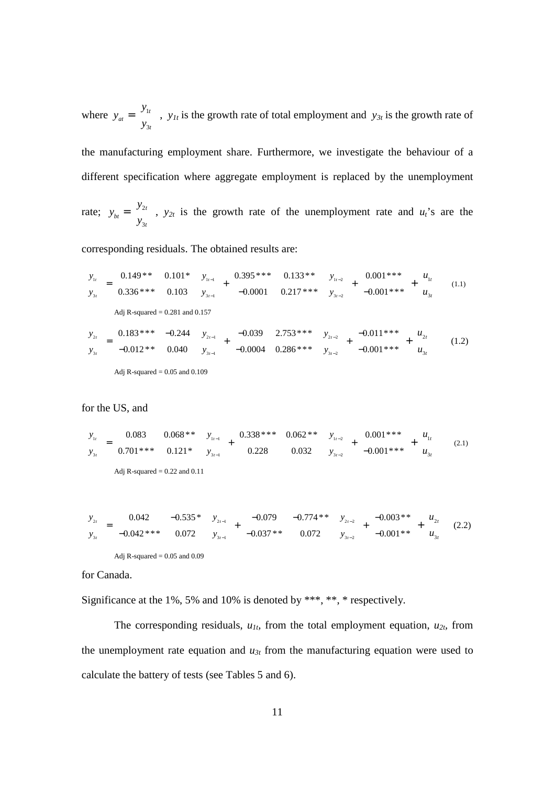where  $y_{at} = \begin{vmatrix} y_1 \\ y_2 \end{vmatrix}$ 3 *t at t y y*  $=\begin{bmatrix} y_{1t} \\ y_{3t} \end{bmatrix}$ , *y<sub>1t</sub>* is the growth rate of total employment and *y<sub>3t</sub>* is the growth rate of

the manufacturing employment share. Furthermore, we investigate the behaviour of a different specification where aggregate employment is replaced by the unemployment

rate;  $y_{bt} = \begin{vmatrix} y_2 \end{vmatrix}$ 3 *t bt t y y*  $=\begin{bmatrix} y_{2t} \\ y_{3t} \end{bmatrix}$ ,  $y_{2t}$  is the growth rate of the unemployment rate and *u<sub>t</sub>*'s are the

corresponding residuals. The obtained results are:

$$
\begin{bmatrix} y_{1t} \\ y_{3t} \end{bmatrix} = \begin{bmatrix} 0.149** & 0.101* \\ 0.336*** & 0.103 \end{bmatrix} \begin{bmatrix} y_{1t-1} \\ y_{3t-1} \end{bmatrix} + \begin{bmatrix} 0.395** & 0.133** \\ -0.0001 & 0.217*** \end{bmatrix} \begin{bmatrix} y_{1t-2} \\ y_{3t-2} \end{bmatrix} + \begin{bmatrix} 0.001*** \\ -0.001*** \end{bmatrix} + \begin{bmatrix} u_{1t} \\ u_{3t} \end{bmatrix}
$$
 (1.1)  
Adj R-squared = 0.281 and 0.157  

$$
\begin{bmatrix} y_{2t} \\ y_{3t} \end{bmatrix} = \begin{bmatrix} 0.183** & -0.244 \\ -0.012** & 0.040 \end{bmatrix} \begin{bmatrix} y_{2t-1} \\ y_{3t-1} \end{bmatrix} + \begin{bmatrix} -0.039 & 2.753** \\ -0.0004 & 0.286** \end{bmatrix} \begin{bmatrix} y_{2t-2} \\ y_{3t-2} \end{bmatrix} + \begin{bmatrix} -0.011*** \\ -0.001*** \end{bmatrix} + \begin{bmatrix} u_{2t} \\ u_{3t} \end{bmatrix}
$$
 (1.2)  
Adj R-squared = 0.05 and 0.109

for the US, and

$$
\begin{bmatrix} y_{1t} \\ y_{3t} \end{bmatrix} = \begin{bmatrix} 0.083 & 0.068** \\ 0.701*** & 0.121* \end{bmatrix} \begin{bmatrix} y_{1t-1} \\ y_{3t-1} \end{bmatrix} + \begin{bmatrix} 0.338*** & 0.062** \\ 0.228 & 0.032 \end{bmatrix} \begin{bmatrix} y_{1t-2} \\ y_{3t-2} \end{bmatrix} + \begin{bmatrix} 0.001*** \\ -0.001*** \end{bmatrix} + \begin{bmatrix} u_{1t} \\ u_{3t} \end{bmatrix}
$$
 (2.1)  
Adj R-squared = 0.22 and 0.11

$$
\begin{bmatrix} y_{2t} \\ y_{3t} \end{bmatrix} = \begin{bmatrix} 0.042 & -0.535 \times 0.072 \\ -0.042 \times 0.072 & 0.072 \end{bmatrix} \begin{bmatrix} y_{2t-1} \\ y_{3t-1} \end{bmatrix} + \begin{bmatrix} -0.079 & -0.774 \times 0.072 \\ -0.037 \times 0.072 & 0.072 \end{bmatrix} \begin{bmatrix} y_{2t-2} \\ y_{3t-2} \end{bmatrix} + \begin{bmatrix} -0.003 \times 0.003 \times 0.000 \\ -0.001 \times 0.001 \times 0.0001 \end{bmatrix} (2.2)
$$

Adj R-squared  $= 0.05$  and 0.09

for Canada.

Significance at the 1%, 5% and 10% is denoted by \*\*\*, \*\*, \* respectively.

The corresponding residuals,  $u_{1t}$ , from the total employment equation,  $u_{2t}$ , from the unemployment rate equation and  $u_{3t}$  from the manufacturing equation were used to calculate the battery of tests (see Tables 5 and 6).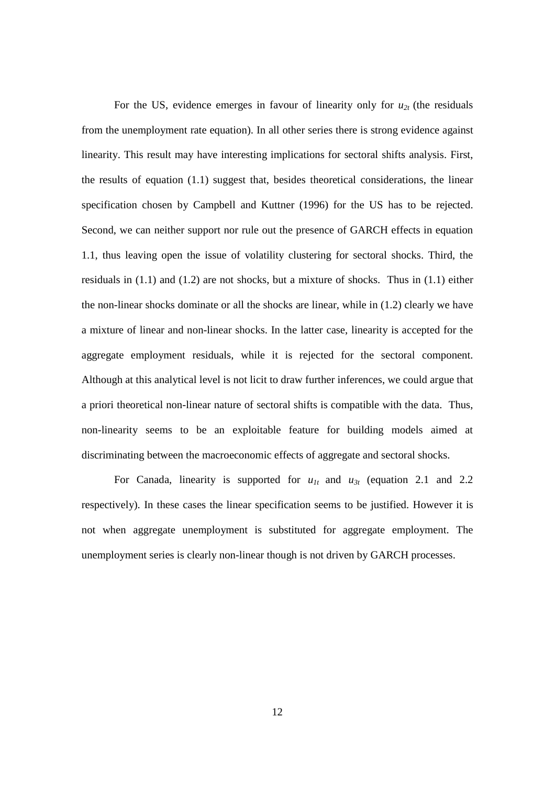For the US, evidence emerges in favour of linearity only for  $u_{2t}$  (the residuals from the unemployment rate equation). In all other series there is strong evidence against linearity. This result may have interesting implications for sectoral shifts analysis. First, the results of equation (1.1) suggest that, besides theoretical considerations, the linear specification chosen by Campbell and Kuttner (1996) for the US has to be rejected. Second, we can neither support nor rule out the presence of GARCH effects in equation 1.1, thus leaving open the issue of volatility clustering for sectoral shocks. Third, the residuals in (1.1) and (1.2) are not shocks, but a mixture of shocks. Thus in (1.1) either the non-linear shocks dominate or all the shocks are linear, while in (1.2) clearly we have a mixture of linear and non-linear shocks. In the latter case, linearity is accepted for the aggregate employment residuals, while it is rejected for the sectoral component. Although at this analytical level is not licit to draw further inferences, we could argue that a priori theoretical non-linear nature of sectoral shifts is compatible with the data. Thus, non-linearity seems to be an exploitable feature for building models aimed at discriminating between the macroeconomic effects of aggregate and sectoral shocks.

For Canada, linearity is supported for  $u_{1t}$  and  $u_{3t}$  (equation 2.1 and 2.2 respectively). In these cases the linear specification seems to be justified. However it is not when aggregate unemployment is substituted for aggregate employment. The unemployment series is clearly non-linear though is not driven by GARCH processes.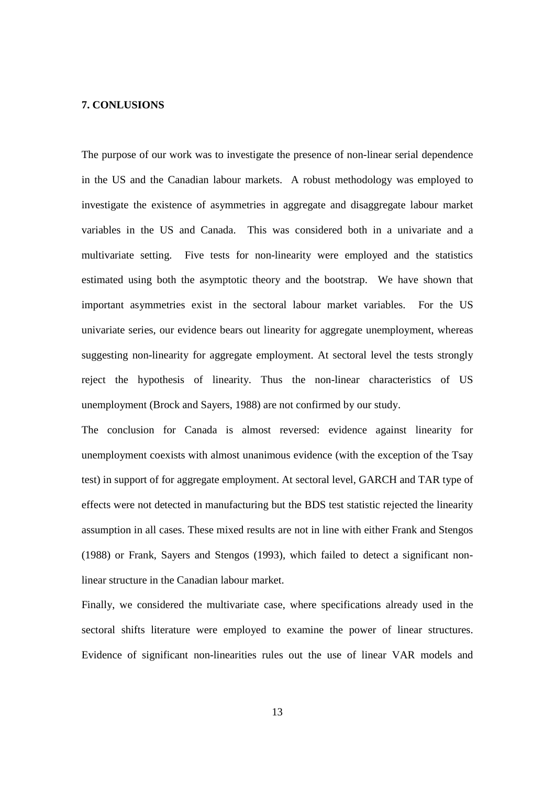## **7. CONLUSIONS**

The purpose of our work was to investigate the presence of non-linear serial dependence in the US and the Canadian labour markets. A robust methodology was employed to investigate the existence of asymmetries in aggregate and disaggregate labour market variables in the US and Canada. This was considered both in a univariate and a multivariate setting. Five tests for non-linearity were employed and the statistics estimated using both the asymptotic theory and the bootstrap. We have shown that important asymmetries exist in the sectoral labour market variables. For the US univariate series, our evidence bears out linearity for aggregate unemployment, whereas suggesting non-linearity for aggregate employment. At sectoral level the tests strongly reject the hypothesis of linearity. Thus the non-linear characteristics of US unemployment (Brock and Sayers, 1988) are not confirmed by our study.

The conclusion for Canada is almost reversed: evidence against linearity for unemployment coexists with almost unanimous evidence (with the exception of the Tsay test) in support of for aggregate employment. At sectoral level, GARCH and TAR type of effects were not detected in manufacturing but the BDS test statistic rejected the linearity assumption in all cases. These mixed results are not in line with either Frank and Stengos (1988) or Frank, Sayers and Stengos (1993), which failed to detect a significant nonlinear structure in the Canadian labour market.

Finally, we considered the multivariate case, where specifications already used in the sectoral shifts literature were employed to examine the power of linear structures. Evidence of significant non-linearities rules out the use of linear VAR models and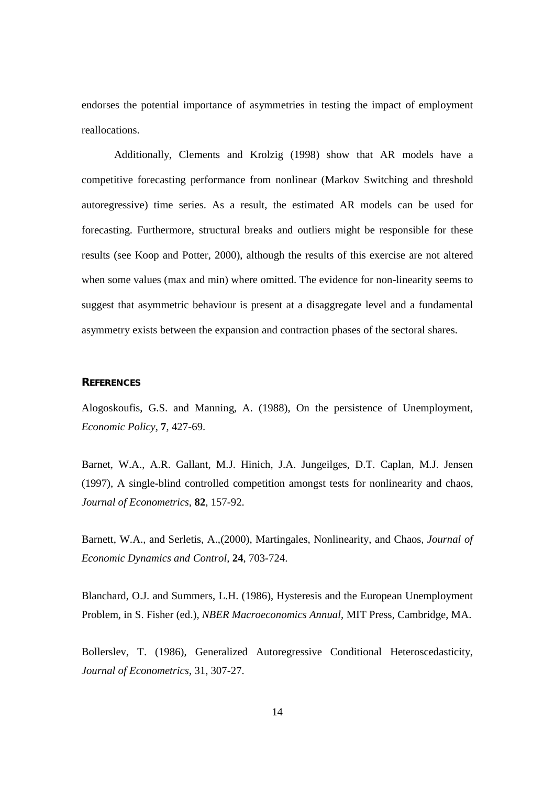endorses the potential importance of asymmetries in testing the impact of employment reallocations.

Additionally, Clements and Krolzig (1998) show that AR models have a competitive forecasting performance from nonlinear (Markov Switching and threshold autoregressive) time series. As a result, the estimated AR models can be used for forecasting. Furthermore, structural breaks and outliers might be responsible for these results (see Koop and Potter, 2000), although the results of this exercise are not altered when some values (max and min) where omitted. The evidence for non-linearity seems to suggest that asymmetric behaviour is present at a disaggregate level and a fundamental asymmetry exists between the expansion and contraction phases of the sectoral shares.

### **REFERENCES**

Alogoskoufis, G.S. and Manning, A. (1988), On the persistence of Unemployment, *Economic Policy*, **7**, 427-69.

Barnet, W.A., A.R. Gallant, M.J. Hinich, J.A. Jungeilges, D.T. Caplan, M.J. Jensen (1997), A single-blind controlled competition amongst tests for nonlinearity and chaos, *Journal of Econometrics,* **82**, 157-92.

Barnett, W.A., and Serletis, A.,(2000), Martingales, Nonlinearity, and Chaos*, Journal of Economic Dynamics and Control,* **24**, 703-724.

Blanchard, O.J. and Summers, L.H. (1986), Hysteresis and the European Unemployment Problem, in S. Fisher (ed.), *NBER Macroeconomics Annual,* MIT Press, Cambridge, MA.

Bollerslev, T. (1986), Generalized Autoregressive Conditional Heteroscedasticity, *Journal of Econometrics*, 31, 307-27.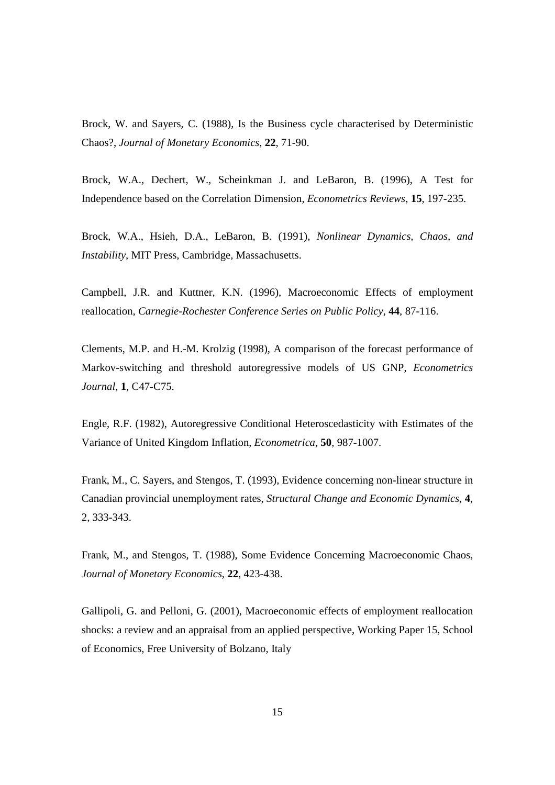Brock, W. and Sayers, C. (1988), Is the Business cycle characterised by Deterministic Chaos?, *Journal of Monetary Economics,* **22**, 71-90.

Brock, W.A., Dechert, W., Scheinkman J. and LeBaron, B. (1996), A Test for Independence based on the Correlation Dimension, *Econometrics Reviews,* **15**, 197-235.

Brock, W.A., Hsieh, D.A., LeBaron, B. (1991), *Nonlinear Dynamics, Chaos, and Instability*, MIT Press, Cambridge, Massachusetts.

Campbell, J.R. and Kuttner, K.N. (1996), Macroeconomic Effects of employment reallocation, *Carnegie-Rochester Conference Series on Public Policy*, **44**, 87-116.

Clements, M.P. and H.-M. Krolzig (1998), A comparison of the forecast performance of Markov-switching and threshold autoregressive models of US GNP, *Econometrics Journal*, **1**, C47-C75.

Engle, R.F. (1982), Autoregressive Conditional Heteroscedasticity with Estimates of the Variance of United Kingdom Inflation, *Econometrica*, **50**, 987-1007.

Frank, M., C. Sayers, and Stengos, T. (1993), Evidence concerning non-linear structure in Canadian provincial unemployment rates, *Structural Change and Economic Dynamics*, **4**, 2, 333-343.

Frank, M., and Stengos, T. (1988), Some Evidence Concerning Macroeconomic Chaos, *Journal of Monetary Economics*, **22**, 423-438.

Gallipoli, G. and Pelloni, G. (2001), Macroeconomic effects of employment reallocation shocks: a review and an appraisal from an applied perspective, Working Paper 15, School of Economics, Free University of Bolzano, Italy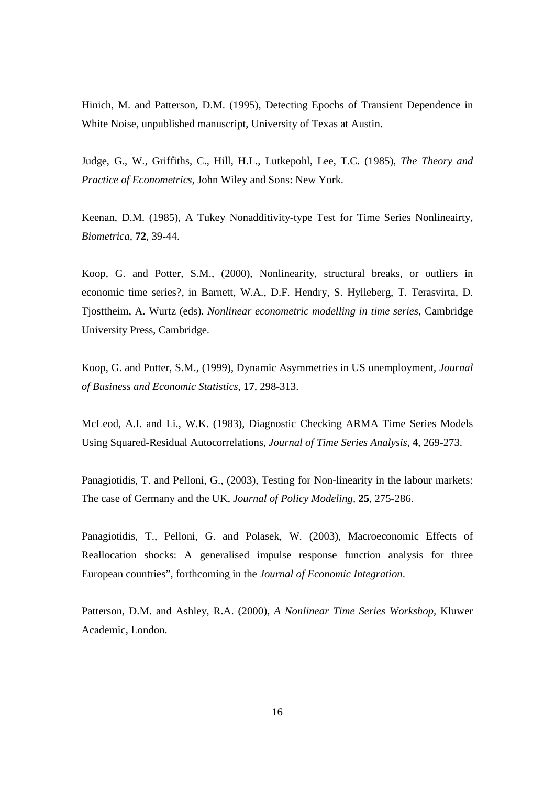Hinich, M. and Patterson, D.M. (1995), Detecting Epochs of Transient Dependence in White Noise, unpublished manuscript, University of Texas at Austin.

Judge, G., W., Griffiths, C., Hill, H.L., Lutkepohl, Lee, T.C. (1985), *The Theory and Practice of Econometrics*, John Wiley and Sons: New York.

Keenan, D.M. (1985), A Tukey Nonadditivity-type Test for Time Series Nonlineairty, *Biometrica,* **72**, 39-44.

Koop, G. and Potter, S.M., (2000), Nonlinearity, structural breaks, or outliers in economic time series?, in Barnett, W.A., D.F. Hendry, S. Hylleberg, T. Terasvirta, D. Tjosttheim, A. Wurtz (eds). *Nonlinear econometric modelling in time series*, Cambridge University Press, Cambridge.

Koop, G. and Potter, S.M., (1999), Dynamic Asymmetries in US unemployment, *Journal of Business and Economic Statistics*, **17**, 298-313.

McLeod, A.I. and Li., W.K. (1983), Diagnostic Checking ARMA Time Series Models Using Squared-Residual Autocorrelations, *Journal of Time Series Analysis,* **4**, 269-273.

Panagiotidis, T. and Pelloni, G., (2003), Testing for Non-linearity in the labour markets: The case of Germany and the UK, *Journal of Policy Modeling,* **25**, 275-286.

Panagiotidis, T., Pelloni, G. and Polasek, W. (2003), Macroeconomic Effects of Reallocation shocks: A generalised impulse response function analysis for three European countries", forthcoming in the *Journal of Economic Integration*.

Patterson, D.M. and Ashley, R.A. (2000), *A Nonlinear Time Series Workshop,* Kluwer Academic, London.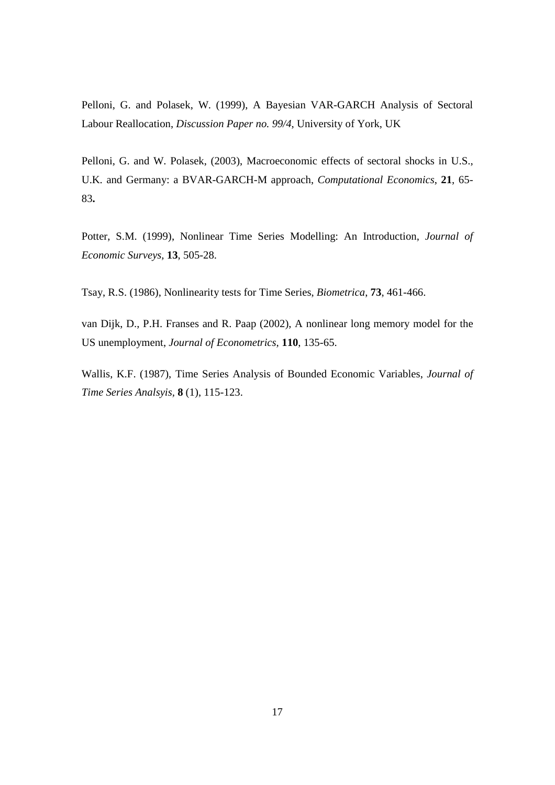Pelloni, G. and Polasek, W. (1999), A Bayesian VAR-GARCH Analysis of Sectoral Labour Reallocation, *Discussion Paper no. 99/4*, University of York, UK

Pelloni, G. and W. Polasek, (2003), Macroeconomic effects of sectoral shocks in U.S., U.K. and Germany: a BVAR-GARCH-M approach, *Computational Economics*, **21**, 65- 83**.** 

Potter, S.M. (1999), Nonlinear Time Series Modelling: An Introduction, *Journal of Economic Surveys,* **13**, 505-28.

Tsay, R.S. (1986), Nonlinearity tests for Time Series, *Biometrica*, **73**, 461-466.

van Dijk, D., P.H. Franses and R. Paap (2002), A nonlinear long memory model for the US unemployment, *Journal of Econometrics,* **110**, 135-65.

Wallis, K.F. (1987), Time Series Analysis of Bounded Economic Variables, *Journal of Time Series Analsyis,* **8** (1), 115-123.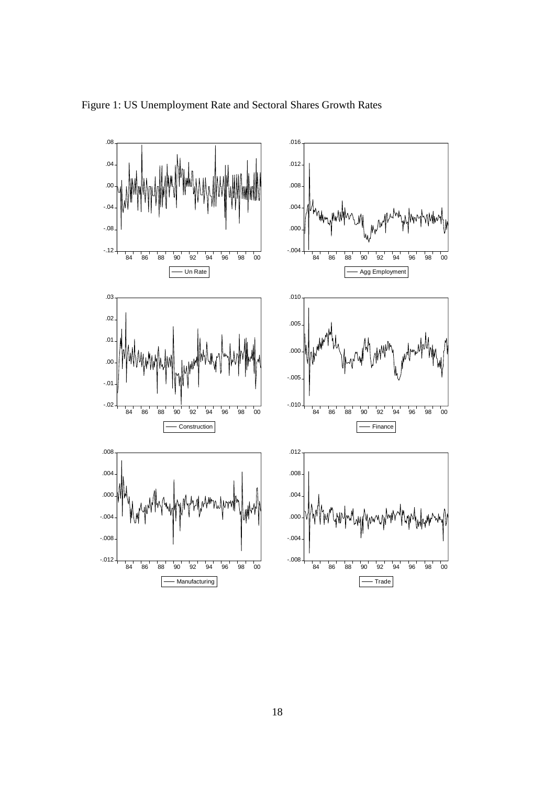

Figure 1: US Unemployment Rate and Sectoral Shares Growth Rates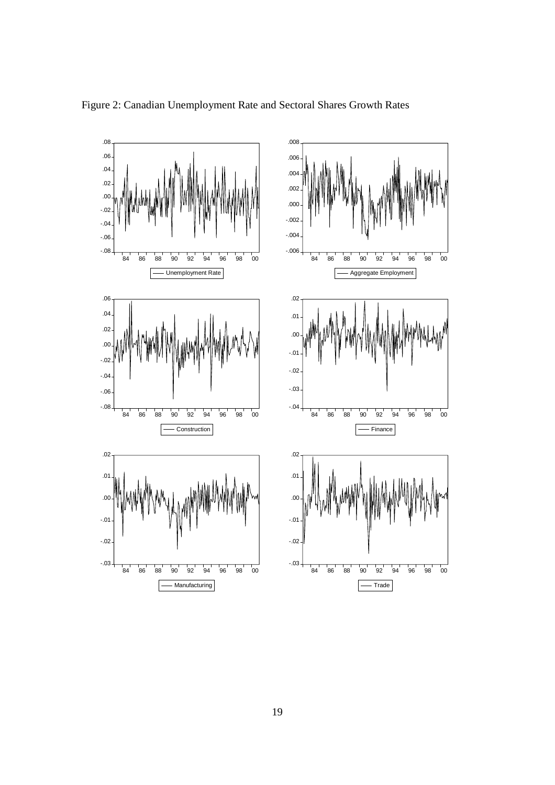

Figure 2: Canadian Unemployment Rate and Sectoral Shares Growth Rates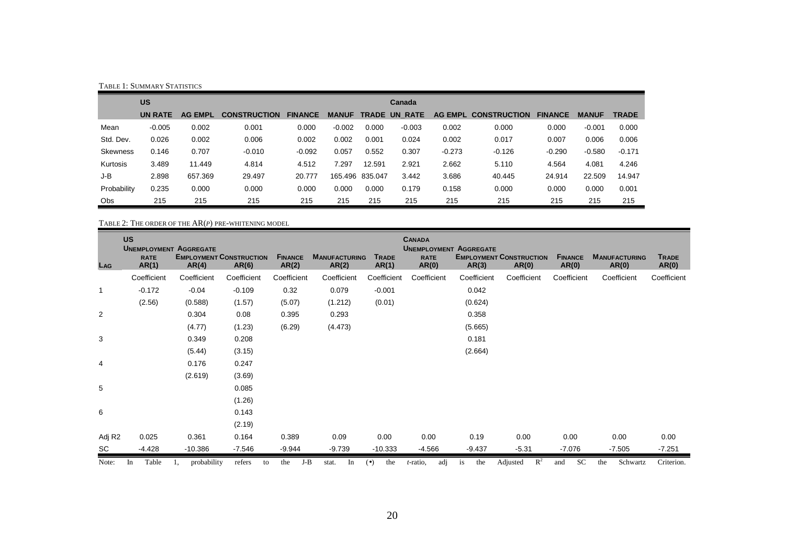|                 | TABLE 1: SUMMARY STATISTICS |                |                     |                |              |                 |                      |                |                     |                |              |              |  |  |
|-----------------|-----------------------------|----------------|---------------------|----------------|--------------|-----------------|----------------------|----------------|---------------------|----------------|--------------|--------------|--|--|
|                 | <b>US</b>                   |                |                     |                |              |                 | Canada               |                |                     |                |              |              |  |  |
|                 | UN RATE                     | <b>AG EMPL</b> | <b>CONSTRUCTION</b> | <b>FINANCE</b> | <b>MANUF</b> |                 | <b>TRADE UN RATE</b> | <b>AG EMPL</b> | <b>CONSTRUCTION</b> | <b>FINANCE</b> | <b>MANUF</b> | <b>TRADE</b> |  |  |
| Mean            | $-0.005$                    | 0.002          | 0.001               | 0.000          | $-0.002$     | 0.000           | $-0.003$             | 0.002          | 0.000               | 0.000          | $-0.001$     | 0.000        |  |  |
| Std. Dev.       | 0.026                       | 0.002          | 0.006               | 0.002          | 0.002        | 0.001           | 0.024                | 0.002          | 0.017               | 0.007          | 0.006        | 0.006        |  |  |
| <b>Skewness</b> | 0.146                       | 0.707          | $-0.010$            | $-0.092$       | 0.057        | 0.552           | 0.307                | $-0.273$       | $-0.126$            | $-0.290$       | $-0.580$     | $-0.171$     |  |  |
| Kurtosis        | 3.489                       | 11.449         | 4.814               | 4.512          | 7.297        | 12.591          | 2.921                | 2.662          | 5.110               | 4.564          | 4.081        | 4.246        |  |  |
| J-B             | 2.898                       | 657.369        | 29.497              | 20,777         |              | 165.496 835.047 | 3.442                | 3.686          | 40.445              | 24.914         | 22.509       | 14.947       |  |  |
| Probability     | 0.235                       | 0.000          | 0.000               | 0.000          | 0.000        | 0.000           | 0.179                | 0.158          | 0.000               | 0.000          | 0.000        | 0.001        |  |  |
| <b>Obs</b>      | 215                         | 215            | 215                 | 215            | 215          | 215             | 215                  | 215            | 215                 | 215            | 215          | 215          |  |  |

TABLE 2: THE ORDER OF THE AR(*P*) PRE-WHITENING MODEL

| LAG                | <b>US</b><br><b>UNEMPLOYMENT AGGREGATE</b><br><b>RATE</b><br>AR(1) | <b>EMPLOYMENT CONSTRUCTION</b><br>AR(4) | AR(6)        | <b>FINANCE</b><br>AR(2) | <b>MANUFACTURING</b><br>AR(2) | <b>TRADE</b><br>AR(1) | <b>CANADA</b><br><b>UNEMPLOYMENT AGGREGATE</b><br><b>RATE</b><br>AR(0) | AR(3)       | <b>EMPLOYMENT CONSTRUCTION</b><br>AR(0) | <b>FINANCE</b><br>AR(0) | <b>MANUFACTURING</b><br>AR(0) | <b>TRADE</b><br>AR(0) |
|--------------------|--------------------------------------------------------------------|-----------------------------------------|--------------|-------------------------|-------------------------------|-----------------------|------------------------------------------------------------------------|-------------|-----------------------------------------|-------------------------|-------------------------------|-----------------------|
|                    | Coefficient                                                        | Coefficient                             | Coefficient  | Coefficient             | Coefficient                   | Coefficient           | Coefficient                                                            | Coefficient | Coefficient                             | Coefficient             | Coefficient                   | Coefficient           |
| -1                 | $-0.172$                                                           | $-0.04$                                 | $-0.109$     | 0.32                    | 0.079                         | $-0.001$              |                                                                        | 0.042       |                                         |                         |                               |                       |
|                    | (2.56)                                                             | (0.588)                                 | (1.57)       | (5.07)                  | (1.212)                       | (0.01)                |                                                                        | (0.624)     |                                         |                         |                               |                       |
| 2                  |                                                                    | 0.304                                   | 0.08         | 0.395                   | 0.293                         |                       |                                                                        | 0.358       |                                         |                         |                               |                       |
|                    |                                                                    | (4.77)                                  | (1.23)       | (6.29)                  | (4.473)                       |                       |                                                                        | (5.665)     |                                         |                         |                               |                       |
| 3                  |                                                                    | 0.349                                   | 0.208        |                         |                               |                       |                                                                        | 0.181       |                                         |                         |                               |                       |
|                    |                                                                    | (5.44)                                  | (3.15)       |                         |                               |                       |                                                                        | (2.664)     |                                         |                         |                               |                       |
| 4                  |                                                                    | 0.176                                   | 0.247        |                         |                               |                       |                                                                        |             |                                         |                         |                               |                       |
|                    |                                                                    | (2.619)                                 | (3.69)       |                         |                               |                       |                                                                        |             |                                         |                         |                               |                       |
| 5                  |                                                                    |                                         | 0.085        |                         |                               |                       |                                                                        |             |                                         |                         |                               |                       |
|                    |                                                                    |                                         | (1.26)       |                         |                               |                       |                                                                        |             |                                         |                         |                               |                       |
| 6                  |                                                                    |                                         | 0.143        |                         |                               |                       |                                                                        |             |                                         |                         |                               |                       |
|                    |                                                                    |                                         | (2.19)       |                         |                               |                       |                                                                        |             |                                         |                         |                               |                       |
| Adj R <sub>2</sub> | 0.025                                                              | 0.361                                   | 0.164        | 0.389                   | 0.09                          | 0.00                  | 0.00                                                                   | 0.19        | 0.00                                    | 0.00                    | 0.00                          | 0.00                  |
| SC.                | $-4.428$                                                           | $-10.386$                               | $-7.546$     | $-9.944$                | $-9.739$                      | $-10.333$             | $-4.566$                                                               | $-9.437$    | $-5.31$                                 | $-7.076$                | $-7.505$                      | $-7.251$              |
| Note:              | Table<br>In                                                        | probability                             | refers<br>to | J-B<br>the              | stat.<br>In                   | (•)<br>the            | adj<br>t-ratio,                                                        | the<br>is   | $\mathbb{R}^2$<br>Adjusted              | <b>SC</b><br>and        | Schwartz<br>the               | Criterion.            |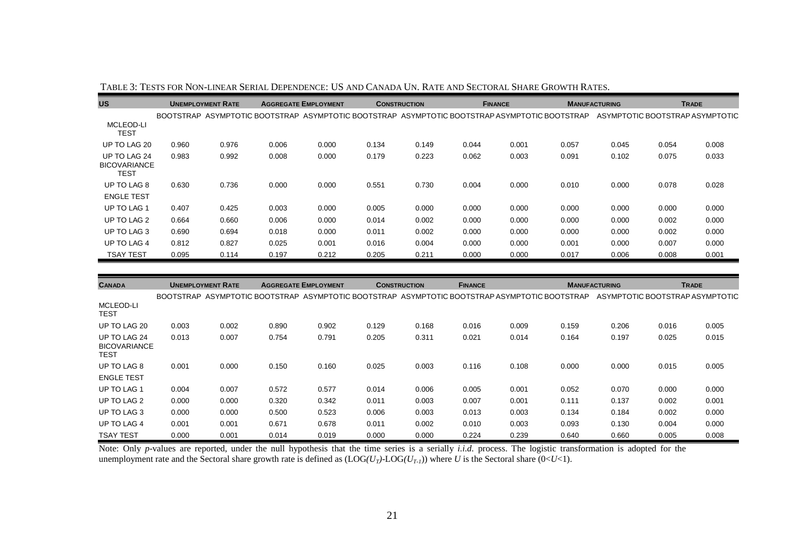| <b>US</b>                                          | <b>UNEMPLOYMENT RATE</b> |       |                                                                                               | <b>AGGREGATE EMPLOYMENT</b> |       | <b>CONSTRUCTION</b> |       | <b>FINANCE</b> |       | <b>MANUFACTURING</b> | <b>TRADE</b> |                                 |
|----------------------------------------------------|--------------------------|-------|-----------------------------------------------------------------------------------------------|-----------------------------|-------|---------------------|-------|----------------|-------|----------------------|--------------|---------------------------------|
|                                                    |                          |       | BOOTSTRAP ASYMPTOTIC BOOTSTRAP ASYMPTOTIC BOOTSTRAP ASYMPTOTIC BOOTSTRAP ASYMPTOTIC BOOTSTRAP |                             |       |                     |       |                |       |                      |              | ASYMPTOTIC BOOTSTRAP ASYMPTOTIC |
| MCLEOD-LI<br><b>TEST</b>                           |                          |       |                                                                                               |                             |       |                     |       |                |       |                      |              |                                 |
| UP TO LAG 20                                       | 0.960                    | 0.976 | 0.006                                                                                         | 0.000                       | 0.134 | 0.149               | 0.044 | 0.001          | 0.057 | 0.045                | 0.054        | 0.008                           |
| UP TO LAG 24<br><b>BICOVARIANCE</b><br><b>TEST</b> | 0.983                    | 0.992 | 0.008                                                                                         | 0.000                       | 0.179 | 0.223               | 0.062 | 0.003          | 0.091 | 0.102                | 0.075        | 0.033                           |
| UP TO LAG 8                                        | 0.630                    | 0.736 | 0.000                                                                                         | 0.000                       | 0.551 | 0.730               | 0.004 | 0.000          | 0.010 | 0.000                | 0.078        | 0.028                           |
| <b>ENGLE TEST</b>                                  |                          |       |                                                                                               |                             |       |                     |       |                |       |                      |              |                                 |
| UP TO LAG 1                                        | 0.407                    | 0.425 | 0.003                                                                                         | 0.000                       | 0.005 | 0.000               | 0.000 | 0.000          | 0.000 | 0.000                | 0.000        | 0.000                           |
| UP TO LAG 2                                        | 0.664                    | 0.660 | 0.006                                                                                         | 0.000                       | 0.014 | 0.002               | 0.000 | 0.000          | 0.000 | 0.000                | 0.002        | 0.000                           |
| UP TO LAG 3                                        | 0.690                    | 0.694 | 0.018                                                                                         | 0.000                       | 0.011 | 0.002               | 0.000 | 0.000          | 0.000 | 0.000                | 0.002        | 0.000                           |
| UP TO LAG 4                                        | 0.812                    | 0.827 | 0.025                                                                                         | 0.001                       | 0.016 | 0.004               | 0.000 | 0.000          | 0.001 | 0.000                | 0.007        | 0.000                           |
| TSAY TEST                                          | 0.095                    | 0.114 | 0.197                                                                                         | 0.212                       | 0.205 | 0.211               | 0.000 | 0.000          | 0.017 | 0.006                | 0.008        | 0.001                           |

| <b>CANADA</b>                                      | <b>UNEMPLOYMENT RATE</b> |       | <b>AGGREGATE EMPLOYMENT</b>                                                                   |       | <b>CONSTRUCTION</b> |       | <b>FINANCE</b> |       | <b>MANUFACTURING</b> |       | <b>TRADE</b> |                                 |
|----------------------------------------------------|--------------------------|-------|-----------------------------------------------------------------------------------------------|-------|---------------------|-------|----------------|-------|----------------------|-------|--------------|---------------------------------|
|                                                    |                          |       | BOOTSTRAP ASYMPTOTIC BOOTSTRAP ASYMPTOTIC BOOTSTRAP ASYMPTOTIC BOOTSTRAP ASYMPTOTIC BOOTSTRAP |       |                     |       |                |       |                      |       |              | ASYMPTOTIC BOOTSTRAP ASYMPTOTIC |
| MCLEOD-LI<br><b>TEST</b>                           |                          |       |                                                                                               |       |                     |       |                |       |                      |       |              |                                 |
| UP TO LAG 20                                       | 0.003                    | 0.002 | 0.890                                                                                         | 0.902 | 0.129               | 0.168 | 0.016          | 0.009 | 0.159                | 0.206 | 0.016        | 0.005                           |
| UP TO LAG 24<br><b>BICOVARIANCE</b><br><b>TEST</b> | 0.013                    | 0.007 | 0.754                                                                                         | 0.791 | 0.205               | 0.311 | 0.021          | 0.014 | 0.164                | 0.197 | 0.025        | 0.015                           |
| UP TO LAG 8<br><b>ENGLE TEST</b>                   | 0.001                    | 0.000 | 0.150                                                                                         | 0.160 | 0.025               | 0.003 | 0.116          | 0.108 | 0.000                | 0.000 | 0.015        | 0.005                           |
| UP TO LAG 1                                        | 0.004                    | 0.007 | 0.572                                                                                         | 0.577 | 0.014               | 0.006 | 0.005          | 0.001 | 0.052                | 0.070 | 0.000        | 0.000                           |
| UP TO LAG 2                                        | 0.000                    | 0.000 | 0.320                                                                                         | 0.342 | 0.011               | 0.003 | 0.007          | 0.001 | 0.111                | 0.137 | 0.002        | 0.001                           |
| UP TO LAG 3                                        | 0.000                    | 0.000 | 0.500                                                                                         | 0.523 | 0.006               | 0.003 | 0.013          | 0.003 | 0.134                | 0.184 | 0.002        | 0.000                           |
| UP TO LAG 4                                        | 0.001                    | 0.001 | 0.671                                                                                         | 0.678 | 0.011               | 0.002 | 0.010          | 0.003 | 0.093                | 0.130 | 0.004        | 0.000                           |
| <b>TSAY TEST</b>                                   | 0.000                    | 0.001 | 0.014                                                                                         | 0.019 | 0.000               | 0.000 | 0.224          | 0.239 | 0.640                | 0.660 | 0.005        | 0.008                           |

Note: Only *p*-values are reported, under the null hypothesis that the time series is a serially *i.i.d.* process. The logistic transformation is adopted for the unemployment rate and the Sectoral share growth rate is defined as  $(LOG(U_T)-LOG(U_{T-1}))$  where U is the Sectoral share  $(0\lt U\lt 1)$ .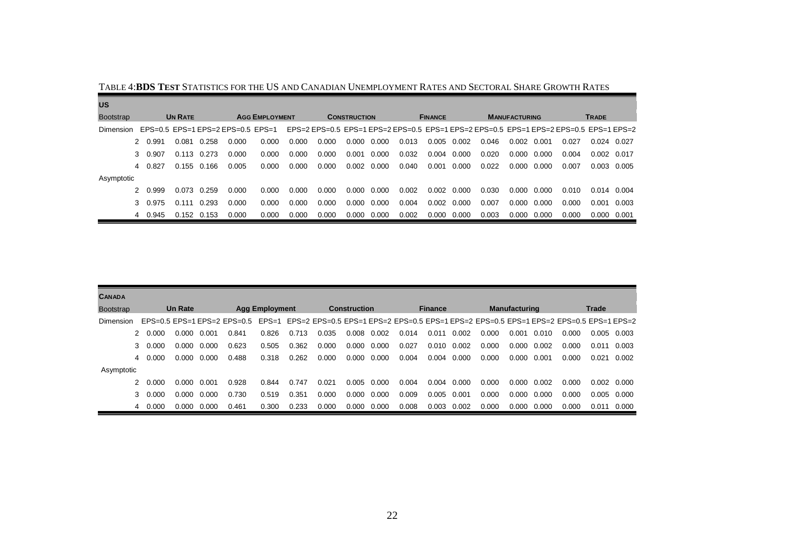| <b>US</b>        |         |                |             |                                             |       |       |                     |       |       |                |       |       |                      |       |              |                                                                                       |       |               |
|------------------|---------|----------------|-------------|---------------------------------------------|-------|-------|---------------------|-------|-------|----------------|-------|-------|----------------------|-------|--------------|---------------------------------------------------------------------------------------|-------|---------------|
| <b>Bootstrap</b> |         | <b>UN RATE</b> |             | <b>AGG EMPLOYMENT</b>                       |       |       | <b>CONSTRUCTION</b> |       |       | <b>FINANCE</b> |       |       | <b>MANUFACTURING</b> |       | <b>TRADE</b> |                                                                                       |       |               |
| Dimension        |         |                |             | $EPS=0.5$ $EPS=1$ $EPS=2$ $EPS=0.5$ $EPS=1$ |       |       |                     |       |       |                |       |       |                      |       |              | EPS=2 EPS=0.5 EPS=1 EPS=2 EPS=0.5 EPS=1 EPS=2 EPS=0.5 EPS=1 EPS=2 EPS=0.5 EPS=1 EPS=2 |       |               |
|                  | 2 0.991 | 0.081          | 0.258       | 0.000                                       | 0.000 | 0.000 | 0.000               | 0.000 | 0.000 | 0.013          | 0.005 | 0.002 | 0.046                | 0.002 | 0.001        | 0.027                                                                                 |       | 0.024 0.027   |
|                  | 3 0.907 | 0.113          | 0.273       | 0.000                                       | 0.000 | 0.000 | 0.000               | 0.001 | 0.000 | 0.032          | 0.004 | 0.000 | 0.020                | 0.000 | 0.000        | 0.004                                                                                 | 0.002 | 0.017         |
|                  | 4 0.827 |                | 0.155 0.166 | 0.005                                       | 0.000 | 0.000 | 0.000               | 0.002 | 0.000 | 0.040          | 0.001 | 0.000 | 0.022                | 0.000 | 0.000        | 0.007                                                                                 | 0.003 | 0.005         |
| Asymptotic       |         |                |             |                                             |       |       |                     |       |       |                |       |       |                      |       |              |                                                                                       |       |               |
|                  | 2 0.999 | 0.073          | 0.259       | 0.000                                       | 0.000 | 0.000 | 0.000               | 0.000 | 0.000 | 0.002          | 0.002 | 0.000 | 0.030                | 0.000 | 0.000        | 0.010                                                                                 |       | $0.014$ 0.004 |
|                  | 3 0.975 | 0.111          | 0.293       | 0.000                                       | 0.000 | 0.000 | 0.000               | 0.000 | 0.000 | 0.004          | 0.002 | 0.000 | 0.007                | 0.000 | 0.000        | 0.000                                                                                 | 0.001 | 0.003         |
|                  | 4 0.945 | 0.152          | 0.153       | 0.000                                       | 0.000 | 0.000 | 0.000               | 0.000 | 0.000 | 0.002          | 0.000 | 0.000 | 0.003                | 0.000 | 0.000        | 0.000                                                                                 | 0.000 | 0.001         |

TABLE 4:**BDS Test** Statistics for the US and Canadian Unemployment Rates and Sectoral Share Growth Rates

| <b>CANADA</b>    |         |                |       |                                                                                                                         |                       |       |       |              |                     |       |                |       |       |                      |       |       |       |                     |
|------------------|---------|----------------|-------|-------------------------------------------------------------------------------------------------------------------------|-----------------------|-------|-------|--------------|---------------------|-------|----------------|-------|-------|----------------------|-------|-------|-------|---------------------|
| <b>Bootstrap</b> |         | <b>Un Rate</b> |       |                                                                                                                         | <b>Agg Employment</b> |       |       | Construction |                     |       | <b>Finance</b> |       |       | <b>Manufacturing</b> |       | Trade |       |                     |
| Dimension        |         |                |       | EPS=0.5 EPS=1 EPS=2 EPS=0.5 EPS=1 EPS=2 EPS=0.5 EPS=1 EPS=2 EPS=0.5 EPS=1 EPS=2 EPS=0.5 EPS=1 EPS=2 EPS=0.5 EPS=1 EPS=2 |                       |       |       |              |                     |       |                |       |       |                      |       |       |       |                     |
|                  | 2 0.000 | 0.000          | 0.001 | 0.841                                                                                                                   | 0.826                 | 0.713 | 0.035 | 0.008        | 0.002               | 0.014 | 0.011          | 0.002 | 0.000 | 0.001                | 0.010 | 0.000 |       | $0.005$ 0.003       |
|                  | 3 0.000 | 0.000          | 0.000 | 0.623                                                                                                                   | 0.505                 | 0.362 | 0.000 |              | $0.000 \quad 0.000$ | 0.027 | 0.010          | 0.002 | 0.000 | 0.000                | 0.002 | 0.000 | 0.011 | 0.003               |
|                  | 4 0.000 | 0.000          | 0.000 | 0.488                                                                                                                   | 0.318                 | 0.262 | 0.000 | 0.000        | 0.000               | 0.004 | 0.004          | 0.000 | 0.000 | 0.000                | 0.001 | 0.000 | 0.021 | 0.002               |
| Asymptotic       |         |                |       |                                                                                                                         |                       |       |       |              |                     |       |                |       |       |                      |       |       |       |                     |
|                  | 0.000   | 0.000          | 0.001 | 0.928                                                                                                                   | 0.844                 | 0.747 | 0.021 | 0.005        | 0.000               | 0.004 | 0.004          | 0.000 | 0.000 | 0.000                | 0.002 | 0.000 |       | $0.002 \quad 0.000$ |
|                  | 3 0.000 | 0.000          | 0.000 | 0.730                                                                                                                   | 0.519                 | 0.351 | 0.000 | 0.000        | 0.000               | 0.009 | 0.005          | 0.001 | 0.000 | 0.000                | 0.000 | 0.000 |       | $0.005$ 0.000       |
|                  | 4 0.000 | 0.000          | 0.000 | 0.461                                                                                                                   | 0.300                 | 0.233 | 0.000 | 0.000        | 0.000               | 0.008 | 0.003          | 0.002 | 0.000 | 0.000                | 0.000 | 0.000 | 0.011 | 0.000               |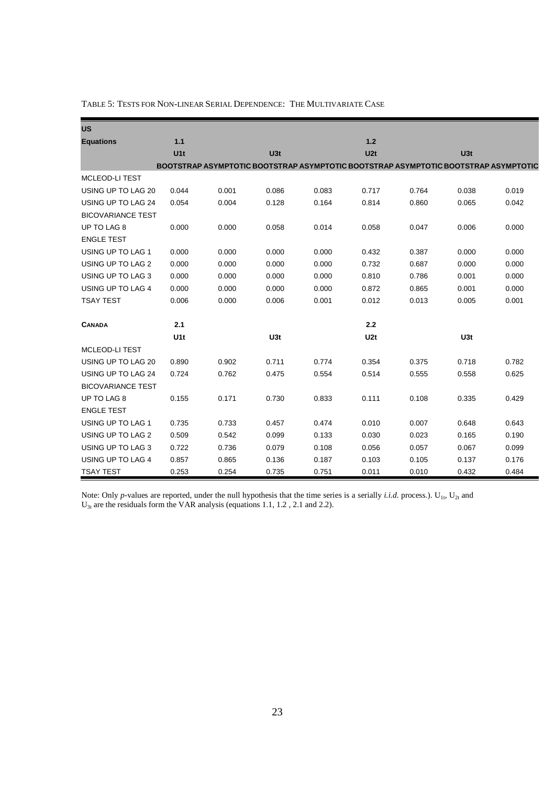| <b>US</b>                |                 |                                                                                     |       |       |       |       |       |       |
|--------------------------|-----------------|-------------------------------------------------------------------------------------|-------|-------|-------|-------|-------|-------|
| <b>Equations</b>         | $1.1$           |                                                                                     |       |       | $1.2$ |       |       |       |
|                          | U <sub>1t</sub> |                                                                                     | U3t   |       | U2t   |       | U3t   |       |
|                          |                 | BOOTSTRAP ASYMPTOTIC BOOTSTRAP ASYMPTOTIC BOOTSTRAP ASYMPTOTIC BOOTSTRAP ASYMPTOTIC |       |       |       |       |       |       |
| <b>MCLEOD-LI TEST</b>    |                 |                                                                                     |       |       |       |       |       |       |
| USING UP TO LAG 20       | 0.044           | 0.001                                                                               | 0.086 | 0.083 | 0.717 | 0.764 | 0.038 | 0.019 |
| USING UP TO LAG 24       | 0.054           | 0.004                                                                               | 0.128 | 0.164 | 0.814 | 0.860 | 0.065 | 0.042 |
| <b>BICOVARIANCE TEST</b> |                 |                                                                                     |       |       |       |       |       |       |
| UP TO LAG 8              | 0.000           | 0.000                                                                               | 0.058 | 0.014 | 0.058 | 0.047 | 0.006 | 0.000 |
| <b>ENGLE TEST</b>        |                 |                                                                                     |       |       |       |       |       |       |
| USING UP TO LAG 1        | 0.000           | 0.000                                                                               | 0.000 | 0.000 | 0.432 | 0.387 | 0.000 | 0.000 |
| USING UP TO LAG 2        | 0.000           | 0.000                                                                               | 0.000 | 0.000 | 0.732 | 0.687 | 0.000 | 0.000 |
| USING UP TO LAG 3        | 0.000           | 0.000                                                                               | 0.000 | 0.000 | 0.810 | 0.786 | 0.001 | 0.000 |
| USING UP TO LAG 4        | 0.000           | 0.000                                                                               | 0.000 | 0.000 | 0.872 | 0.865 | 0.001 | 0.000 |
| <b>TSAY TEST</b>         | 0.006           | 0.000                                                                               | 0.006 | 0.001 | 0.012 | 0.013 | 0.005 | 0.001 |
|                          |                 |                                                                                     |       |       |       |       |       |       |
| <b>CANADA</b>            | 2.1             |                                                                                     |       |       | 2.2   |       |       |       |
|                          | U <sub>1t</sub> |                                                                                     | U3t   |       | U2t   |       | U3t   |       |
| MCLEOD-LI TEST           |                 |                                                                                     |       |       |       |       |       |       |
| USING UP TO LAG 20       | 0.890           | 0.902                                                                               | 0.711 | 0.774 | 0.354 | 0.375 | 0.718 | 0.782 |
| USING UP TO LAG 24       | 0.724           | 0.762                                                                               | 0.475 | 0.554 | 0.514 | 0.555 | 0.558 | 0.625 |
| <b>BICOVARIANCE TEST</b> |                 |                                                                                     |       |       |       |       |       |       |
| UP TO LAG 8              | 0.155           | 0.171                                                                               | 0.730 | 0.833 | 0.111 | 0.108 | 0.335 | 0.429 |
| <b>ENGLE TEST</b>        |                 |                                                                                     |       |       |       |       |       |       |
| USING UP TO LAG 1        | 0.735           | 0.733                                                                               | 0.457 | 0.474 | 0.010 | 0.007 | 0.648 | 0.643 |
| USING UP TO LAG 2        | 0.509           | 0.542                                                                               | 0.099 | 0.133 | 0.030 | 0.023 | 0.165 | 0.190 |
| USING UP TO LAG 3        | 0.722           | 0.736                                                                               | 0.079 | 0.108 | 0.056 | 0.057 | 0.067 | 0.099 |
| USING UP TO LAG 4        | 0.857           | 0.865                                                                               | 0.136 | 0.187 | 0.103 | 0.105 | 0.137 | 0.176 |
| <b>TSAY TEST</b>         | 0.253           | 0.254                                                                               | 0.735 | 0.751 | 0.011 | 0.010 | 0.432 | 0.484 |

TABLE 5: TESTS FOR NON-LINEAR SERIAL DEPENDENCE: THE MULTIVARIATE CASE

Note: Only *p*-values are reported, under the null hypothesis that the time series is a serially *i.i.d.* process.). U<sub>1t</sub>, U<sub>2t</sub> and  $U_{3t}$  are the residuals form the VAR analysis (equations 1.1, 1.2, 2.1 and 2.2).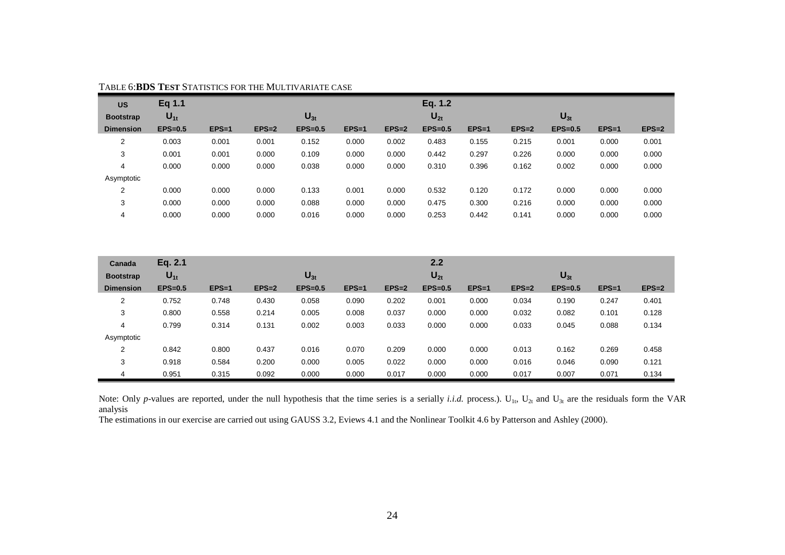| <b>US</b>        | Eq 1.1    |         |         |           |         |         | Eq. 1.2   |         |         |           |         |         |
|------------------|-----------|---------|---------|-----------|---------|---------|-----------|---------|---------|-----------|---------|---------|
| <b>Bootstrap</b> | $U_{1t}$  |         |         | $U_{3t}$  |         |         | $U_{2t}$  |         |         | $U_{3t}$  |         |         |
| <b>Dimension</b> | $EPS=0.5$ | $EPS=1$ | $EPS=2$ | $EPS=0.5$ | $EPS=1$ | $EPS=2$ | $EPS=0.5$ | $EPS=1$ | $EPS=2$ | $EPS=0.5$ | $EPS=1$ | $EPS=2$ |
| 2                | 0.003     | 0.001   | 0.001   | 0.152     | 0.000   | 0.002   | 0.483     | 0.155   | 0.215   | 0.001     | 0.000   | 0.001   |
| 3                | 0.001     | 0.001   | 0.000   | 0.109     | 0.000   | 0.000   | 0.442     | 0.297   | 0.226   | 0.000     | 0.000   | 0.000   |
| 4                | 0.000     | 0.000   | 0.000   | 0.038     | 0.000   | 0.000   | 0.310     | 0.396   | 0.162   | 0.002     | 0.000   | 0.000   |
| Asymptotic       |           |         |         |           |         |         |           |         |         |           |         |         |
| 2                | 0.000     | 0.000   | 0.000   | 0.133     | 0.001   | 0.000   | 0.532     | 0.120   | 0.172   | 0.000     | 0.000   | 0.000   |
| 3                | 0.000     | 0.000   | 0.000   | 0.088     | 0.000   | 0.000   | 0.475     | 0.300   | 0.216   | 0.000     | 0.000   | 0.000   |
| 4                | 0.000     | 0.000   | 0.000   | 0.016     | 0.000   | 0.000   | 0.253     | 0.442   | 0.141   | 0.000     | 0.000   | 0.000   |

#### TABLE 6:**BDS TEST**  STATISTICS FOR THE MULTIVARIATE CASE

| Canada           | Eq. 2.1   |         |         |           |         |         | 2.2       |         |         |           |         |         |
|------------------|-----------|---------|---------|-----------|---------|---------|-----------|---------|---------|-----------|---------|---------|
| <b>Bootstrap</b> | $U_{1t}$  |         |         | $U_{3t}$  |         |         | $U_{2t}$  |         |         | $U_{3t}$  |         |         |
| <b>Dimension</b> | $EPS=0.5$ | $EPS=1$ | $EPS=2$ | $EPS=0.5$ | $EPS=1$ | $EPS=2$ | $EPS=0.5$ | $EPS=1$ | $EPS=2$ | $EPS=0.5$ | $EPS=1$ | $EPS=2$ |
| 2                | 0.752     | 0.748   | 0.430   | 0.058     | 0.090   | 0.202   | 0.001     | 0.000   | 0.034   | 0.190     | 0.247   | 0.401   |
| 3                | 0.800     | 0.558   | 0.214   | 0.005     | 0.008   | 0.037   | 0.000     | 0.000   | 0.032   | 0.082     | 0.101   | 0.128   |
| 4                | 0.799     | 0.314   | 0.131   | 0.002     | 0.003   | 0.033   | 0.000     | 0.000   | 0.033   | 0.045     | 0.088   | 0.134   |
| Asymptotic       |           |         |         |           |         |         |           |         |         |           |         |         |
| 2                | 0.842     | 0.800   | 0.437   | 0.016     | 0.070   | 0.209   | 0.000     | 0.000   | 0.013   | 0.162     | 0.269   | 0.458   |
| 3                | 0.918     | 0.584   | 0.200   | 0.000     | 0.005   | 0.022   | 0.000     | 0.000   | 0.016   | 0.046     | 0.090   | 0.121   |
| 4                | 0.951     | 0.315   | 0.092   | 0.000     | 0.000   | 0.017   | 0.000     | 0.000   | 0.017   | 0.007     | 0.071   | 0.134   |

Note: Only *p*-values are reported, under the null hypothesis that the time series is a serially *i.i.d.* process.).  $U_{1t}$ ,  $U_{2t}$  and  $U_{3t}$  are the residuals form the VAR analysis

The estimations in our exercise are carried out using GAUSS 3.2, Eviews 4.1 and the Nonlinear Toolkit 4.6 by Patterson and Ashley (2000).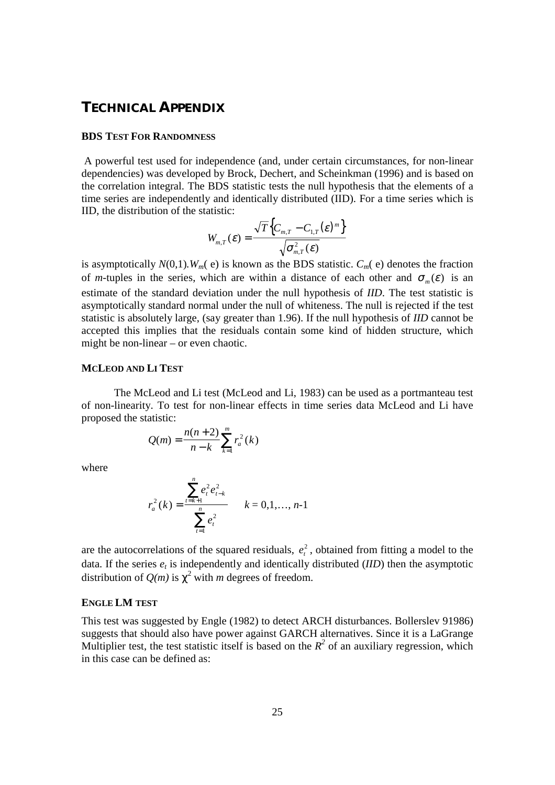# **TECHNICAL APPENDIX**

#### **BDS TEST FOR RANDOMNESS**

 A powerful test used for independence (and, under certain circumstances, for non-linear dependencies) was developed by Brock, Dechert, and Scheinkman (1996) and is based on the correlation integral. The BDS statistic tests the null hypothesis that the elements of a time series are independently and identically distributed (IID). For a time series which is IID, the distribution of the statistic:

$$
W_{m,T}(\varepsilon) = \frac{\sqrt{T}\Big\{C_{m,T} - C_{1,T}(\varepsilon)^m\Big\}}{\sqrt{\sigma_{m,T}^2(\varepsilon)}}
$$

is asymptotically  $N(0,1)$ *.*  $W_m$ (e) is known as the BDS statistic.  $C_m$ (e) denotes the fraction of *m*-tuples in the series, which are within a distance of each other and  $\sigma_m(\varepsilon)$  is an estimate of the standard deviation under the null hypothesis of *IID*. The test statistic is asymptotically standard normal under the null of whiteness. The null is rejected if the test statistic is absolutely large, (say greater than 1.96). If the null hypothesis of *IID* cannot be accepted this implies that the residuals contain some kind of hidden structure, which might be non-linear – or even chaotic.

## **MCLEOD AND LI TEST**

The McLeod and Li test (McLeod and Li, 1983) can be used as a portmanteau test of non-linearity. To test for non-linear effects in time series data McLeod and Li have proposed the statistic:

$$
Q(m) = \frac{n(n+2)}{n-k} \sum_{k=1}^{m} r_a^2(k)
$$

where

$$
r_a^2(k) = \frac{\sum_{t=k+1}^n e_t^2 e_{t-k}^2}{\sum_{t=1}^n e_t^2} \qquad k = 0, 1, ..., n-1
$$

are the autocorrelations of the squared residuals,  $e_t^2$ , obtained from fitting a model to the data. If the series  $e_t$  is independently and identically distributed  $(IID)$  then the asymptotic distribution of  $Q(m)$  is  $\chi^2$  with m degrees of freedom.

#### **ENGLE LM TEST**

This test was suggested by Engle (1982) to detect ARCH disturbances. Bollerslev 91986) suggests that should also have power against GARCH alternatives. Since it is a LaGrange Multiplier test, the test statistic itself is based on the  $R^2$  of an auxiliary regression, which in this case can be defined as: